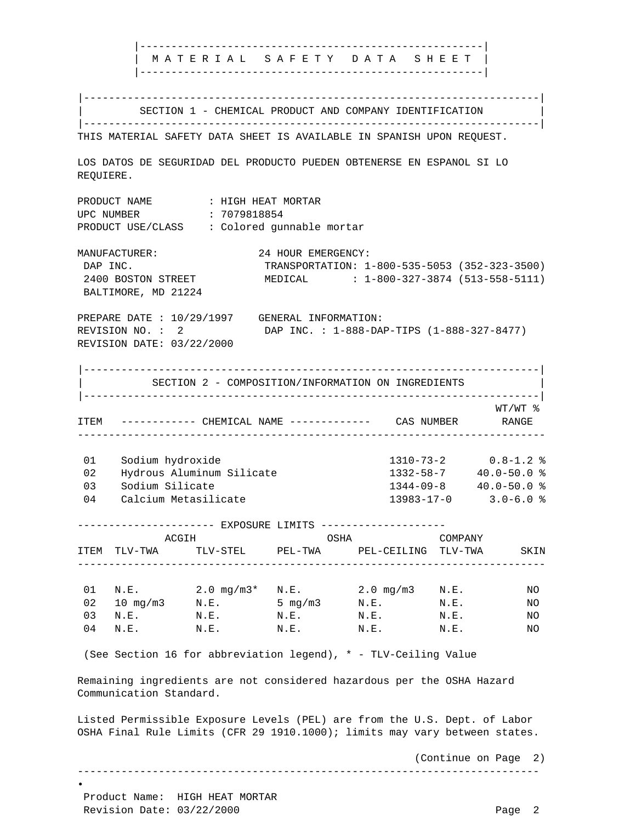|-------------------------------------------------------| | M A T E R I A L S A F E T Y D A T A S H E E T | |-------------------------------------------------------| |-------------------------------------------------------------------------| SECTION 1 - CHEMICAL PRODUCT AND COMPANY IDENTIFICATION |-------------------------------------------------------------------------| THIS MATERIAL SAFETY DATA SHEET IS AVAILABLE IN SPANISH UPON REQUEST. LOS DATOS DE SEGURIDAD DEL PRODUCTO PUEDEN OBTENERSE EN ESPANOL SI LO REQUIERE. PRODUCT NAME : HIGH HEAT MORTAR UPC NUMBER : 7079818854 PRODUCT USE/CLASS : Colored gunnable mortar MANUFACTURER: 24 HOUR EMERGENCY: DAP INC. TRANSPORTATION: 1-800-535-5053 (352-323-3500) 2400 BOSTON STREET MEDICAL : 1-800-327-3874 (513-558-5111) BALTIMORE, MD 21224 PREPARE DATE : 10/29/1997 GENERAL INFORMATION: REVISION NO. : 2 DAP INC. : 1-888-DAP-TIPS (1-888-327-8477) REVISION DATE: 03/22/2000 |-------------------------------------------------------------------------| SECTION 2 - COMPOSITION/INFORMATION ON INGREDIENTS |-------------------------------------------------------------------------| WT/WT % ITEM ------------ CHEMICAL NAME ------------- CAS NUMBER RANGE --------------------------------------------------------------------------- 01 Sodium hydroxide 1310-73-2 0.8-1.2 % 02 Hydrous Aluminum Silicate 03 Sodium Silicate 1344-09-8 40.0-50.0 % 04 Calcium Metasilicate 13983-17-0 3.0-6.0 % ---------------------- EXPOSURE LIMITS -------------------- ACGIH OSHA COMPANY ITEM TLV-TWA TLV-STEL PEL-TWA PEL-CEILING TLV-TWA SKIN --------------------------------------------------------------------------- 01 N.E. 2.0 mg/m3\* N.E. 2.0 mg/m3 N.E. NO  $02$  10 mg/m3 N.E. 5 mg/m3 N.E. N.E. NO 03 N.E. N.E. N.E. N.E. N.E. N.E. N.E. NO 04 N.E. N.E. N.E. N.E. N.E. N.E. N.E. NO (See Section 16 for abbreviation legend), \* - TLV-Ceiling Value Remaining ingredients are not considered hazardous per the OSHA Hazard Communication Standard. Listed Permissible Exposure Levels (PEL) are from the U.S. Dept. of Labor OSHA Final Rule Limits (CFR 29 1910.1000); limits may vary between states. (Continue on Page 2) -------------------------------------------------------------------------- • Product Name: HIGH HEAT MORTAR Revision Date: 03/22/2000 Page 2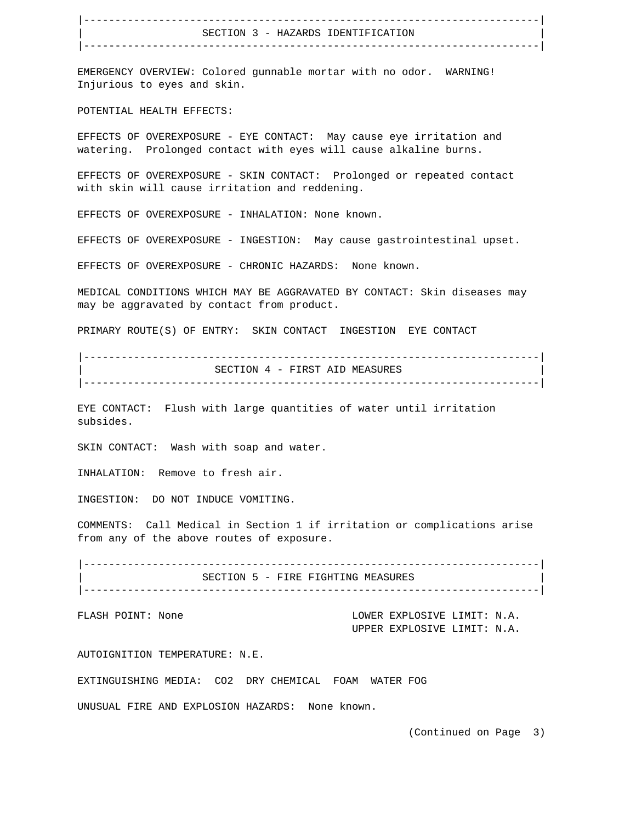|-------------------------------------------------------------------------| SECTION 3 - HAZARDS IDENTIFICATION |-------------------------------------------------------------------------|

 EMERGENCY OVERVIEW: Colored gunnable mortar with no odor. WARNING! Injurious to eyes and skin.

POTENTIAL HEALTH EFFECTS:

 EFFECTS OF OVEREXPOSURE - EYE CONTACT: May cause eye irritation and watering. Prolonged contact with eyes will cause alkaline burns.

 EFFECTS OF OVEREXPOSURE - SKIN CONTACT: Prolonged or repeated contact with skin will cause irritation and reddening.

EFFECTS OF OVEREXPOSURE - INHALATION: None known.

EFFECTS OF OVEREXPOSURE - INGESTION: May cause gastrointestinal upset.

EFFECTS OF OVEREXPOSURE - CHRONIC HAZARDS: None known.

 MEDICAL CONDITIONS WHICH MAY BE AGGRAVATED BY CONTACT: Skin diseases may may be aggravated by contact from product.

PRIMARY ROUTE(S) OF ENTRY: SKIN CONTACT INGESTION EYE CONTACT

 |-------------------------------------------------------------------------| SECTION 4 - FIRST AID MEASURES |-------------------------------------------------------------------------|

 EYE CONTACT: Flush with large quantities of water until irritation subsides.

SKIN CONTACT: Wash with soap and water.

INHALATION: Remove to fresh air.

INGESTION: DO NOT INDUCE VOMITING.

 COMMENTS: Call Medical in Section 1 if irritation or complications arise from any of the above routes of exposure.

 |-------------------------------------------------------------------------| SECTION 5 - FIRE FIGHTING MEASURES |-------------------------------------------------------------------------|

FLASH POINT: None  $LOWER$  EXPLOSIVE LIMIT: N.A. UPPER EXPLOSIVE LIMIT: N.A.

AUTOIGNITION TEMPERATURE: N.E.

EXTINGUISHING MEDIA: CO2 DRY CHEMICAL FOAM WATER FOG

UNUSUAL FIRE AND EXPLOSION HAZARDS: None known.

(Continued on Page 3)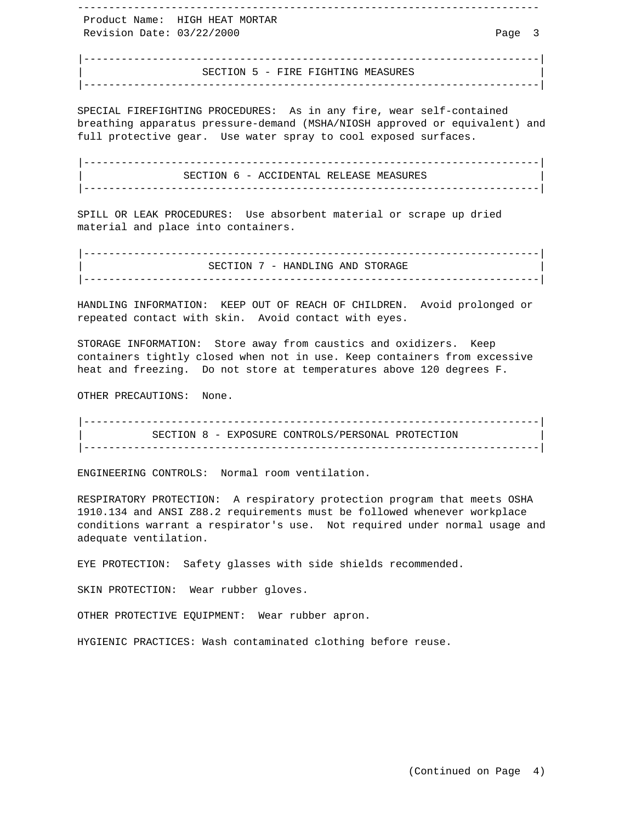Product Name: HIGH HEAT MORTAR Revision Date: 03/22/2000 Page 3

 |-------------------------------------------------------------------------| SECTION 5 - FIRE FIGHTING MEASURES |-------------------------------------------------------------------------|

--------------------------------------------------------------------------

 SPECIAL FIREFIGHTING PROCEDURES: As in any fire, wear self-contained breathing apparatus pressure-demand (MSHA/NIOSH approved or equivalent) and full protective gear. Use water spray to cool exposed surfaces.

 |-------------------------------------------------------------------------| SECTION 6 - ACCIDENTAL RELEASE MEASURES |-------------------------------------------------------------------------|

 SPILL OR LEAK PROCEDURES: Use absorbent material or scrape up dried material and place into containers.

 |-------------------------------------------------------------------------| SECTION 7 - HANDLING AND STORAGE |-------------------------------------------------------------------------|

 HANDLING INFORMATION: KEEP OUT OF REACH OF CHILDREN. Avoid prolonged or repeated contact with skin. Avoid contact with eyes.

 STORAGE INFORMATION: Store away from caustics and oxidizers. Keep containers tightly closed when not in use. Keep containers from excessive heat and freezing. Do not store at temperatures above 120 degrees F.

OTHER PRECAUTIONS: None.

 |-------------------------------------------------------------------------| SECTION 8 - EXPOSURE CONTROLS/PERSONAL PROTECTION |-------------------------------------------------------------------------|

ENGINEERING CONTROLS: Normal room ventilation.

 RESPIRATORY PROTECTION: A respiratory protection program that meets OSHA 1910.134 and ANSI Z88.2 requirements must be followed whenever workplace conditions warrant a respirator's use. Not required under normal usage and adequate ventilation.

EYE PROTECTION: Safety glasses with side shields recommended.

SKIN PROTECTION: Wear rubber gloves.

OTHER PROTECTIVE EQUIPMENT: Wear rubber apron.

HYGIENIC PRACTICES: Wash contaminated clothing before reuse.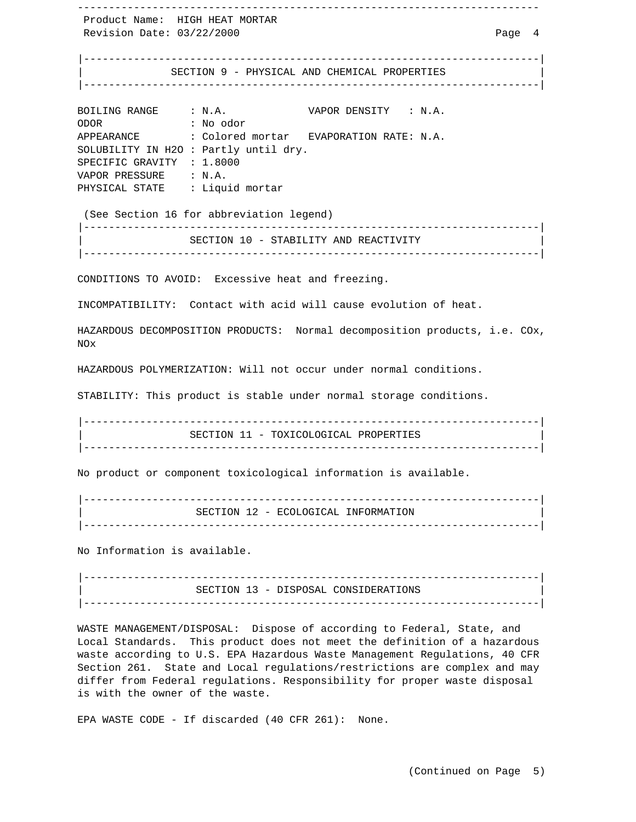-------------------------------------------------------------------------- Product Name: HIGH HEAT MORTAR Revision Date: 03/22/2000 Page 4 |-------------------------------------------------------------------------| SECTION 9 - PHYSICAL AND CHEMICAL PROPERTIES |-------------------------------------------------------------------------| BOILING RANGE : N.A. VAPOR DENSITY : N.A. ODOR : No odor APPEARANCE : Colored mortar EVAPORATION RATE: N.A. SOLUBILITY IN H2O : Partly until dry. SPECIFIC GRAVITY : 1.8000 VAPOR PRESSURE : N.A. PHYSICAL STATE : Liquid mortar (See Section 16 for abbreviation legend) |-------------------------------------------------------------------------| SECTION 10 - STABILITY AND REACTIVITY |-------------------------------------------------------------------------| CONDITIONS TO AVOID: Excessive heat and freezing. INCOMPATIBILITY: Contact with acid will cause evolution of heat. HAZARDOUS DECOMPOSITION PRODUCTS: Normal decomposition products, i.e. COx, NOx HAZARDOUS POLYMERIZATION: Will not occur under normal conditions. STABILITY: This product is stable under normal storage conditions. |-------------------------------------------------------------------------| SECTION 11 - TOXICOLOGICAL PROPERTIES |-------------------------------------------------------------------------|

No product or component toxicological information is available.

 |-------------------------------------------------------------------------| SECTION 12 - ECOLOGICAL INFORMATION |-------------------------------------------------------------------------|

No Information is available.

 |-------------------------------------------------------------------------| SECTION 13 - DISPOSAL CONSIDERATIONS |-------------------------------------------------------------------------|

 WASTE MANAGEMENT/DISPOSAL: Dispose of according to Federal, State, and Local Standards. This product does not meet the definition of a hazardous waste according to U.S. EPA Hazardous Waste Management Regulations, 40 CFR Section 261. State and Local regulations/restrictions are complex and may differ from Federal regulations. Responsibility for proper waste disposal is with the owner of the waste.

EPA WASTE CODE - If discarded (40 CFR 261): None.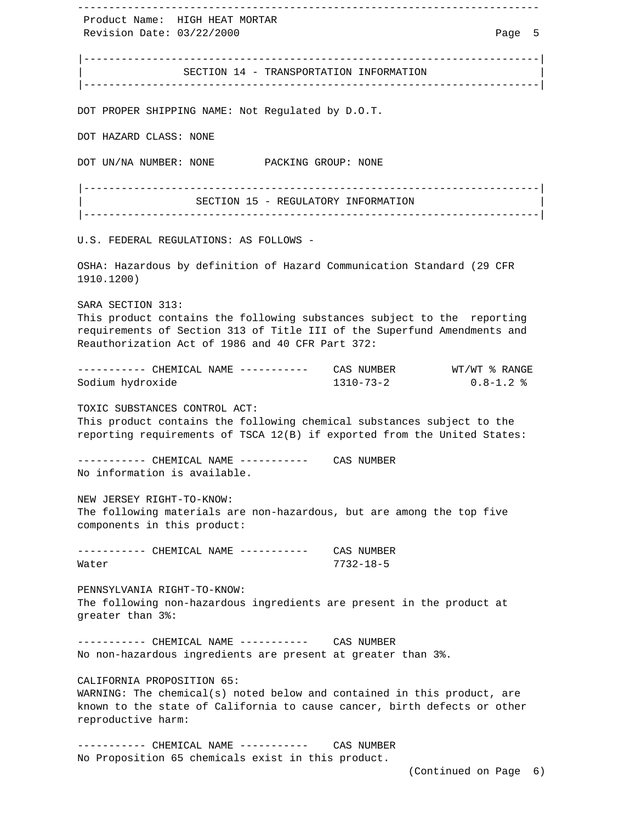-------------------------------------------------------------------------- Product Name: HIGH HEAT MORTAR Revision Date: 03/22/2000 Page 5 |-------------------------------------------------------------------------| SECTION 14 - TRANSPORTATION INFORMATION |-------------------------------------------------------------------------| DOT PROPER SHIPPING NAME: Not Regulated by D.O.T. DOT HAZARD CLASS: NONE DOT UN/NA NUMBER: NONE PACKING GROUP: NONE |-------------------------------------------------------------------------| | SECTION 15 - REGULATORY INFORMATION |-------------------------------------------------------------------------| U.S. FEDERAL REGULATIONS: AS FOLLOWS - OSHA: Hazardous by definition of Hazard Communication Standard (29 CFR 1910.1200) SARA SECTION 313: This product contains the following substances subject to the reporting requirements of Section 313 of Title III of the Superfund Amendments and Reauthorization Act of 1986 and 40 CFR Part 372: ---------- CHEMICAL NAME ----------- CAS NUMBER WT/WT % RANGE Sodium hydroxide 1310-73-2 0.8-1.2 % TOXIC SUBSTANCES CONTROL ACT: This product contains the following chemical substances subject to the reporting requirements of TSCA 12(B) if exported from the United States: ---------- CHEMICAL NAME ----------- CAS NUMBER No information is available. NEW JERSEY RIGHT-TO-KNOW: The following materials are non-hazardous, but are among the top five components in this product: ----------- CHEMICAL NAME ----------- CAS NUMBER Water 7732-18-5 PENNSYLVANIA RIGHT-TO-KNOW: The following non-hazardous ingredients are present in the product at greater than 3%: ----------- CHEMICAL NAME ----------- CAS NUMBER No non-hazardous ingredients are present at greater than 3%. CALIFORNIA PROPOSITION 65: WARNING: The chemical(s) noted below and contained in this product, are known to the state of California to cause cancer, birth defects or other reproductive harm: ----------- CHEMICAL NAME ----------- CAS NUMBER No Proposition 65 chemicals exist in this product. (Continued on Page 6)